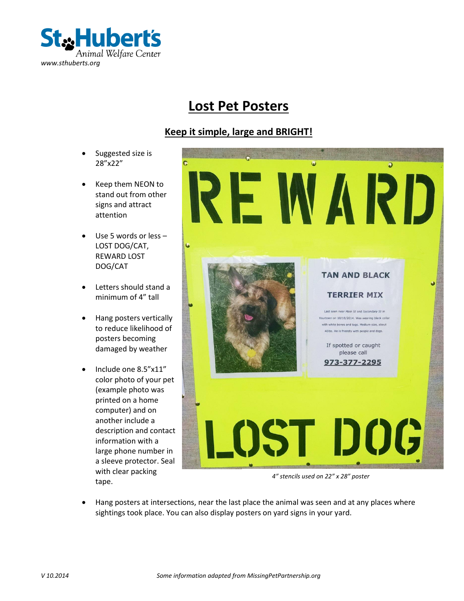

### **Lost Pet Posters**

#### **Keep it simple, large and BRIGHT!**

- Suggested size is 28"x22"
- Keep them NEON to stand out from other signs and attract attention
- Use 5 words or less LOST DOG/CAT, REWARD LOST DOG/CAT
- Letters should stand a minimum of 4" tall
- Hang posters vertically to reduce likelihood of posters becoming damaged by weather
- Include one 8.5"x11" color photo of your pet (example photo was printed on a home computer) and on another include a description and contact information with a large phone number in a sleeve protector. Seal with clear packing tape.



*4" stencils used on 22" x 28" poster*

 Hang posters at intersections, near the last place the animal was seen and at any places where sightings took place. You can also display posters on yard signs in your yard.